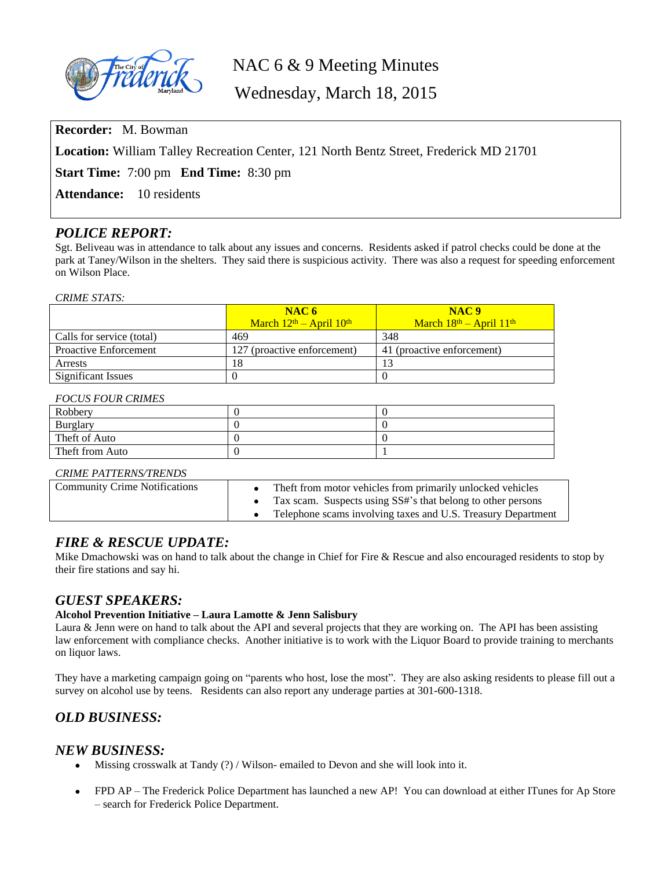

# NAC 6 & 9 Meeting Minutes

Wednesday, March 18, 2015

**Recorder:** M. Bowman

**Location:** William Talley Recreation Center, 121 North Bentz Street, Frederick MD 21701

**Start Time:** 7:00 pm **End Time:** 8:30 pm

**Attendance:** 10 residents

### *POLICE REPORT:*

Sgt. Beliveau was in attendance to talk about any issues and concerns. Residents asked if patrol checks could be done at the park at Taney/Wilson in the shelters. They said there is suspicious activity. There was also a request for speeding enforcement on Wilson Place.

#### *CRIME STATS:*

|                              | NAC6                        | NAC <sub>9</sub>            |
|------------------------------|-----------------------------|-----------------------------|
|                              | March $12th$ – April $10th$ | March $18th$ – April $11th$ |
| Calls for service (total)    | 469                         | 348                         |
| <b>Proactive Enforcement</b> | 127 (proactive enforcement) | 41 (proactive enforcement)  |
| <b>Arrests</b>               | 18                          |                             |
| Significant Issues           |                             |                             |

#### *FOCUS FOUR CRIMES*

| Robbery         |  |
|-----------------|--|
| <b>Burglary</b> |  |
| Theft of Auto   |  |
| Theft from Auto |  |

### *CRIME PATTERNS/TRENDS*

| <b>Community Crime Notifications</b> | Theft from motor vehicles from primarily unlocked vehicles<br>Tax scam. Suspects using SS#'s that belong to other persons<br>Telephone scams involving taxes and U.S. Treasury Department |
|--------------------------------------|-------------------------------------------------------------------------------------------------------------------------------------------------------------------------------------------|
|--------------------------------------|-------------------------------------------------------------------------------------------------------------------------------------------------------------------------------------------|

### *FIRE & RESCUE UPDATE:*

Mike Dmachowski was on hand to talk about the change in Chief for Fire  $\&$  Rescue and also encouraged residents to stop by their fire stations and say hi.

### *GUEST SPEAKERS:*

### **Alcohol Prevention Initiative – Laura Lamotte & Jenn Salisbury**

Laura & Jenn were on hand to talk about the API and several projects that they are working on. The API has been assisting law enforcement with compliance checks. Another initiative is to work with the Liquor Board to provide training to merchants on liquor laws.

They have a marketing campaign going on "parents who host, lose the most". They are also asking residents to please fill out a survey on alcohol use by teens. Residents can also report any underage parties at 301-600-1318.

## *OLD BUSINESS:*

### *NEW BUSINESS:*

- Missing crosswalk at Tandy (?) / Wilson- emailed to Devon and she will look into it.
- FPD AP The Frederick Police Department has launched a new AP! You can download at either ITunes for Ap Store – search for Frederick Police Department.